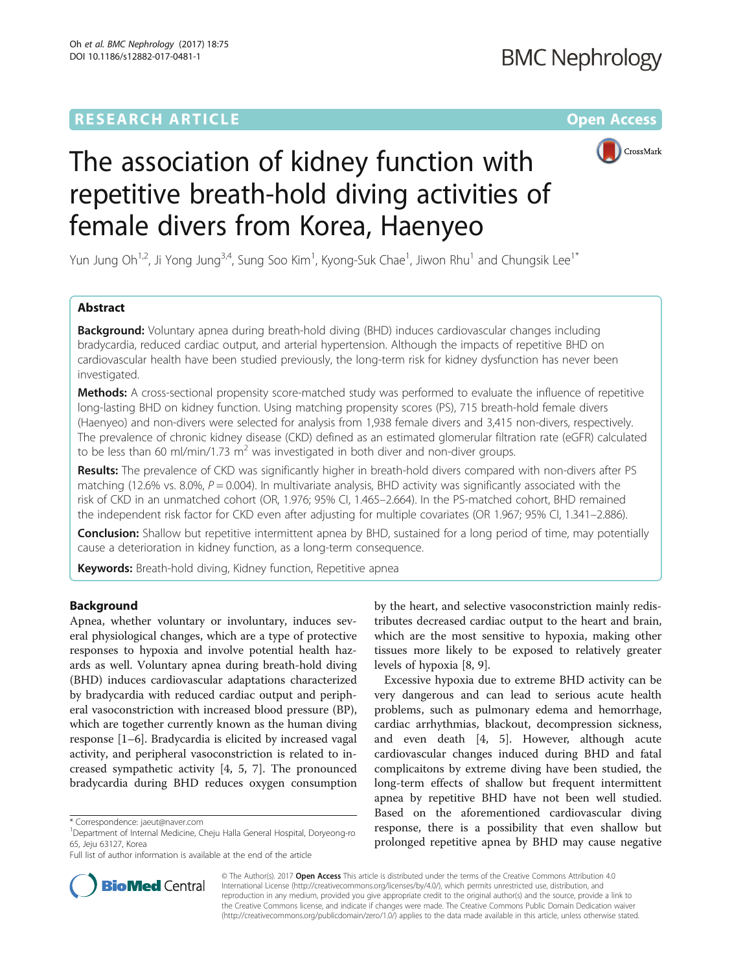# **RESEARCH ARTICLE Example 2014 12:30 The Contract of Contract ACCESS**



# The association of kidney function with repetitive breath-hold diving activities of female divers from Korea, Haenyeo

Yun Jung Oh<sup>1,2</sup>, Ji Yong Jung<sup>3,4</sup>, Sung Soo Kim<sup>1</sup>, Kyong-Suk Chae<sup>1</sup>, Jiwon Rhu<sup>1</sup> and Chungsik Lee<sup>1\*</sup>

# Abstract

**Background:** Voluntary apnea during breath-hold diving (BHD) induces cardiovascular changes including bradycardia, reduced cardiac output, and arterial hypertension. Although the impacts of repetitive BHD on cardiovascular health have been studied previously, the long-term risk for kidney dysfunction has never been investigated.

Methods: A cross-sectional propensity score-matched study was performed to evaluate the influence of repetitive long-lasting BHD on kidney function. Using matching propensity scores (PS), 715 breath-hold female divers (Haenyeo) and non-divers were selected for analysis from 1,938 female divers and 3,415 non-divers, respectively. The prevalence of chronic kidney disease (CKD) defined as an estimated glomerular filtration rate (eGFR) calculated to be less than 60 ml/min/1.73  $m^2$  was investigated in both diver and non-diver groups.

Results: The prevalence of CKD was significantly higher in breath-hold divers compared with non-divers after PS matching (12.6% vs. 8.0%,  $P = 0.004$ ). In multivariate analysis, BHD activity was significantly associated with the risk of CKD in an unmatched cohort (OR, 1.976; 95% CI, 1.465–2.664). In the PS-matched cohort, BHD remained the independent risk factor for CKD even after adjusting for multiple covariates (OR 1.967; 95% CI, 1.341–2.886).

**Conclusion:** Shallow but repetitive intermittent apnea by BHD, sustained for a long period of time, may potentially cause a deterioration in kidney function, as a long-term consequence.

Keywords: Breath-hold diving, Kidney function, Repetitive apnea

# Background

Apnea, whether voluntary or involuntary, induces several physiological changes, which are a type of protective responses to hypoxia and involve potential health hazards as well. Voluntary apnea during breath-hold diving (BHD) induces cardiovascular adaptations characterized by bradycardia with reduced cardiac output and peripheral vasoconstriction with increased blood pressure (BP), which are together currently known as the human diving response [[1](#page-6-0)–[6\]](#page-6-0). Bradycardia is elicited by increased vagal activity, and peripheral vasoconstriction is related to increased sympathetic activity [\[4](#page-6-0), [5, 7\]](#page-6-0). The pronounced bradycardia during BHD reduces oxygen consumption

by the heart, and selective vasoconstriction mainly redistributes decreased cardiac output to the heart and brain, which are the most sensitive to hypoxia, making other tissues more likely to be exposed to relatively greater levels of hypoxia [[8, 9\]](#page-6-0).

Excessive hypoxia due to extreme BHD activity can be very dangerous and can lead to serious acute health problems, such as pulmonary edema and hemorrhage, cardiac arrhythmias, blackout, decompression sickness, and even death [[4](#page-6-0), [5](#page-6-0)]. However, although acute cardiovascular changes induced during BHD and fatal complicaitons by extreme diving have been studied, the long-term effects of shallow but frequent intermittent apnea by repetitive BHD have not been well studied. Based on the aforementioned cardiovascular diving response, there is a possibility that even shallow but prolonged repetitive apnea by BHD may cause negative



© The Author(s). 2017 **Open Access** This article is distributed under the terms of the Creative Commons Attribution 4.0 International License [\(http://creativecommons.org/licenses/by/4.0/](http://creativecommons.org/licenses/by/4.0/)), which permits unrestricted use, distribution, and reproduction in any medium, provided you give appropriate credit to the original author(s) and the source, provide a link to the Creative Commons license, and indicate if changes were made. The Creative Commons Public Domain Dedication waiver [\(http://creativecommons.org/publicdomain/zero/1.0/](http://creativecommons.org/publicdomain/zero/1.0/)) applies to the data made available in this article, unless otherwise stated.

<sup>\*</sup> Correspondence: [jaeut@naver.com](mailto:jaeut@naver.com) <sup>1</sup>

<sup>&</sup>lt;sup>1</sup>Department of Internal Medicine, Cheju Halla General Hospital, Doryeong-ro 65, Jeju 63127, Korea

Full list of author information is available at the end of the article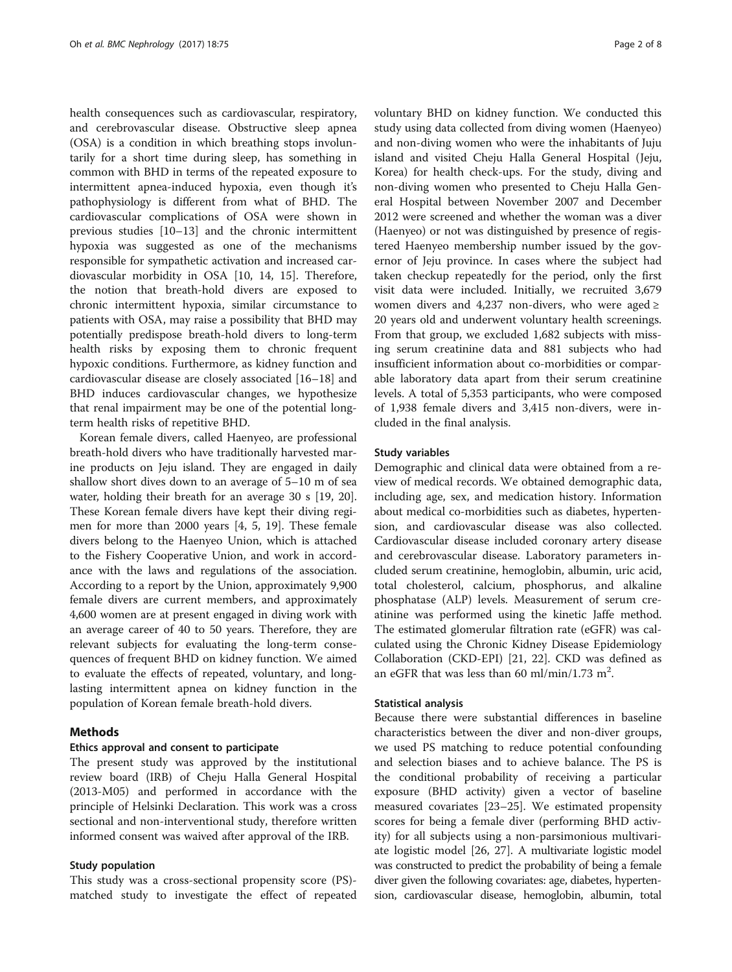health consequences such as cardiovascular, respiratory, and cerebrovascular disease. Obstructive sleep apnea (OSA) is a condition in which breathing stops involuntarily for a short time during sleep, has something in common with BHD in terms of the repeated exposure to intermittent apnea-induced hypoxia, even though it's pathophysiology is different from what of BHD. The cardiovascular complications of OSA were shown in previous studies [\[10](#page-6-0)–[13\]](#page-6-0) and the chronic intermittent hypoxia was suggested as one of the mechanisms responsible for sympathetic activation and increased cardiovascular morbidity in OSA [[10, 14, 15\]](#page-6-0). Therefore, the notion that breath-hold divers are exposed to chronic intermittent hypoxia, similar circumstance to patients with OSA, may raise a possibility that BHD may potentially predispose breath-hold divers to long-term health risks by exposing them to chronic frequent hypoxic conditions. Furthermore, as kidney function and cardiovascular disease are closely associated [[16](#page-6-0)–[18](#page-6-0)] and BHD induces cardiovascular changes, we hypothesize that renal impairment may be one of the potential longterm health risks of repetitive BHD.

Korean female divers, called Haenyeo, are professional breath-hold divers who have traditionally harvested marine products on Jeju island. They are engaged in daily shallow short dives down to an average of 5–10 m of sea water, holding their breath for an average 30 s [[19](#page-6-0), [20](#page-6-0)]. These Korean female divers have kept their diving regimen for more than 2000 years [[4, 5, 19\]](#page-6-0). These female divers belong to the Haenyeo Union, which is attached to the Fishery Cooperative Union, and work in accordance with the laws and regulations of the association. According to a report by the Union, approximately 9,900 female divers are current members, and approximately 4,600 women are at present engaged in diving work with an average career of 40 to 50 years. Therefore, they are relevant subjects for evaluating the long-term consequences of frequent BHD on kidney function. We aimed to evaluate the effects of repeated, voluntary, and longlasting intermittent apnea on kidney function in the population of Korean female breath-hold divers.

# Methods

#### Ethics approval and consent to participate

The present study was approved by the institutional review board (IRB) of Cheju Halla General Hospital (2013-M05) and performed in accordance with the principle of Helsinki Declaration. This work was a cross sectional and non-interventional study, therefore written informed consent was waived after approval of the IRB.

#### Study population

This study was a cross-sectional propensity score (PS) matched study to investigate the effect of repeated voluntary BHD on kidney function. We conducted this study using data collected from diving women (Haenyeo) and non-diving women who were the inhabitants of Juju island and visited Cheju Halla General Hospital (Jeju, Korea) for health check-ups. For the study, diving and non-diving women who presented to Cheju Halla General Hospital between November 2007 and December 2012 were screened and whether the woman was a diver (Haenyeo) or not was distinguished by presence of registered Haenyeo membership number issued by the governor of Jeju province. In cases where the subject had taken checkup repeatedly for the period, only the first visit data were included. Initially, we recruited 3,679 women divers and 4,237 non-divers, who were aged  $\ge$ 20 years old and underwent voluntary health screenings. From that group, we excluded 1,682 subjects with missing serum creatinine data and 881 subjects who had insufficient information about co-morbidities or comparable laboratory data apart from their serum creatinine levels. A total of 5,353 participants, who were composed of 1,938 female divers and 3,415 non-divers, were included in the final analysis.

### Study variables

Demographic and clinical data were obtained from a review of medical records. We obtained demographic data, including age, sex, and medication history. Information about medical co-morbidities such as diabetes, hypertension, and cardiovascular disease was also collected. Cardiovascular disease included coronary artery disease and cerebrovascular disease. Laboratory parameters included serum creatinine, hemoglobin, albumin, uric acid, total cholesterol, calcium, phosphorus, and alkaline phosphatase (ALP) levels. Measurement of serum creatinine was performed using the kinetic Jaffe method. The estimated glomerular filtration rate (eGFR) was calculated using the Chronic Kidney Disease Epidemiology Collaboration (CKD-EPI) [[21, 22\]](#page-6-0). CKD was defined as an eGFR that was less than 60 ml/min/1.73 m<sup>2</sup>.

# Statistical analysis

Because there were substantial differences in baseline characteristics between the diver and non-diver groups, we used PS matching to reduce potential confounding and selection biases and to achieve balance. The PS is the conditional probability of receiving a particular exposure (BHD activity) given a vector of baseline measured covariates [\[23](#page-6-0)–[25\]](#page-6-0). We estimated propensity scores for being a female diver (performing BHD activity) for all subjects using a non-parsimonious multivariate logistic model [\[26](#page-6-0), [27](#page-6-0)]. A multivariate logistic model was constructed to predict the probability of being a female diver given the following covariates: age, diabetes, hypertension, cardiovascular disease, hemoglobin, albumin, total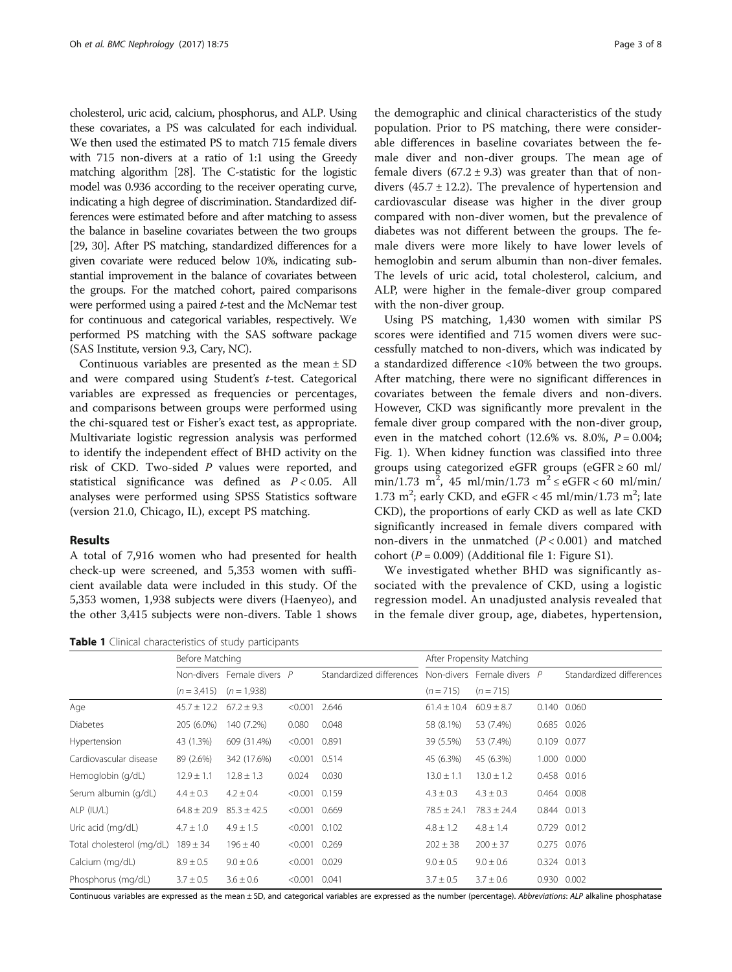cholesterol, uric acid, calcium, phosphorus, and ALP. Using these covariates, a PS was calculated for each individual. We then used the estimated PS to match 715 female divers with 715 non-divers at a ratio of 1:1 using the Greedy matching algorithm [[28](#page-6-0)]. The C-statistic for the logistic model was 0.936 according to the receiver operating curve, indicating a high degree of discrimination. Standardized differences were estimated before and after matching to assess the balance in baseline covariates between the two groups [[29](#page-7-0), [30](#page-7-0)]. After PS matching, standardized differences for a given covariate were reduced below 10%, indicating substantial improvement in the balance of covariates between the groups. For the matched cohort, paired comparisons were performed using a paired *t*-test and the McNemar test for continuous and categorical variables, respectively. We performed PS matching with the SAS software package (SAS Institute, version 9.3, Cary, NC).

Continuous variables are presented as the mean  $\pm$  SD and were compared using Student's t-test. Categorical variables are expressed as frequencies or percentages, and comparisons between groups were performed using the chi-squared test or Fisher's exact test, as appropriate. Multivariate logistic regression analysis was performed to identify the independent effect of BHD activity on the risk of CKD. Two-sided P values were reported, and statistical significance was defined as  $P < 0.05$ . All analyses were performed using SPSS Statistics software (version 21.0, Chicago, IL), except PS matching.

#### Results

A total of 7,916 women who had presented for health check-up were screened, and 5,353 women with sufficient available data were included in this study. Of the 5,353 women, 1,938 subjects were divers (Haenyeo), and the other 3,415 subjects were non-divers. Table 1 shows

the demographic and clinical characteristics of the study population. Prior to PS matching, there were considerable differences in baseline covariates between the female diver and non-diver groups. The mean age of female divers  $(67.2 \pm 9.3)$  was greater than that of nondivers  $(45.7 \pm 12.2)$ . The prevalence of hypertension and cardiovascular disease was higher in the diver group compared with non-diver women, but the prevalence of diabetes was not different between the groups. The female divers were more likely to have lower levels of hemoglobin and serum albumin than non-diver females. The levels of uric acid, total cholesterol, calcium, and ALP, were higher in the female-diver group compared with the non-diver group.

Using PS matching, 1,430 women with similar PS scores were identified and 715 women divers were successfully matched to non-divers, which was indicated by a standardized difference <10% between the two groups. After matching, there were no significant differences in covariates between the female divers and non-divers. However, CKD was significantly more prevalent in the female diver group compared with the non-diver group, even in the matched cohort  $(12.6\% \text{ vs. } 8.0\%, P = 0.004;$ Fig. [1](#page-3-0)). When kidney function was classified into three groups using categorized eGFR groups (eGFR  $\geq 60$  ml/ min/1.73 m<sup>2</sup>, 45 ml/min/1.73 m<sup>2</sup>  $\leq$  eGFR  $<$  60 ml/min/ 1.73 m<sup>2</sup>; early CKD, and eGFR < 45 ml/min/1.73 m<sup>2</sup>; late CKD), the proportions of early CKD as well as late CKD significantly increased in female divers compared with non-divers in the unmatched  $(P < 0.001)$  and matched cohort ( $P = 0.009$ ) (Additional file [1](#page-6-0): Figure S1).

We investigated whether BHD was significantly associated with the prevalence of CKD, using a logistic regression model. An unadjusted analysis revealed that in the female diver group, age, diabetes, hypertension,

Table 1 Clinical characteristics of study participants

|                           | Before Matching |                            |         |                          | After Propensity Matching |                              |       |                          |
|---------------------------|-----------------|----------------------------|---------|--------------------------|---------------------------|------------------------------|-------|--------------------------|
|                           |                 | Non-divers Female divers P |         | Standardized differences |                           | Non-divers Female divers $P$ |       | Standardized differences |
|                           | $(n = 3,415)$   | $(n=1,938)$                |         |                          | $(n = 715)$               | $(n = 715)$                  |       |                          |
| Age                       | $45.7 \pm 12.2$ | $67.2 \pm 9.3$             | < 0.001 | 2.646                    | $61.4 \pm 10.4$           | $60.9 \pm 8.7$               | 0.140 | 0.060                    |
| <b>Diabetes</b>           | 205 (6.0%)      | 140 (7.2%)                 | 0.080   | 0.048                    | 58 (8.1%)                 | 53 (7.4%)                    |       | 0.685 0.026              |
| Hypertension              | 43 (1.3%)       | 609 (31.4%)                | < 0.001 | 0.891                    | 39 (5.5%)                 | 53 (7.4%)                    | 0.109 | 0.077                    |
| Cardiovascular disease    | 89 (2.6%)       | 342 (17.6%)                | < 0.001 | 0.514                    | 45 (6.3%)                 | 45 (6.3%)                    | 1.000 | 0.000                    |
| Hemoglobin (g/dL)         | $12.9 \pm 1.1$  | $12.8 \pm 1.3$             | 0.024   | 0.030                    | $13.0 \pm 1.1$            | $13.0 \pm 1.2$               |       | 0.458 0.016              |
| Serum albumin (g/dL)      | $4.4 \pm 0.3$   | $4.2 \pm 0.4$              | < 0.001 | 0.159                    | $4.3 \pm 0.3$             | $4.3 \pm 0.3$                |       | 0.464 0.008              |
| ALP (IU/L)                | $64.8 \pm 20.9$ | $85.3 \pm 42.5$            | < 0.001 | 0.669                    | $78.5 \pm 24.1$           | $78.3 \pm 24.4$              |       | 0.844 0.013              |
| Uric acid (mg/dL)         | $4.7 \pm 1.0$   | $4.9 \pm 1.5$              | < 0.001 | 0.102                    | $4.8 \pm 1.2$             | $4.8 \pm 1.4$                |       | 0.729 0.012              |
| Total cholesterol (mg/dL) | $189 \pm 34$    | $196 \pm 40$               | < 0.001 | 0.269                    | $202 \pm 38$              | $200 \pm 37$                 |       | 0.275 0.076              |
| Calcium (mg/dL)           | $8.9 \pm 0.5$   | $9.0 \pm 0.6$              | < 0.001 | 0.029                    | $9.0 \pm 0.5$             | $9.0 \pm 0.6$                |       | 0.324 0.013              |
| Phosphorus (mg/dL)        | $3.7 \pm 0.5$   | $3.6 \pm 0.6$              | < 0.001 | 0.041                    | $3.7 \pm 0.5$             | $3.7 \pm 0.6$                | 0.930 | 0.002                    |

Continuous variables are expressed as the mean ± SD, and categorical variables are expressed as the number (percentage). Abbreviations: ALP alkaline phosphatase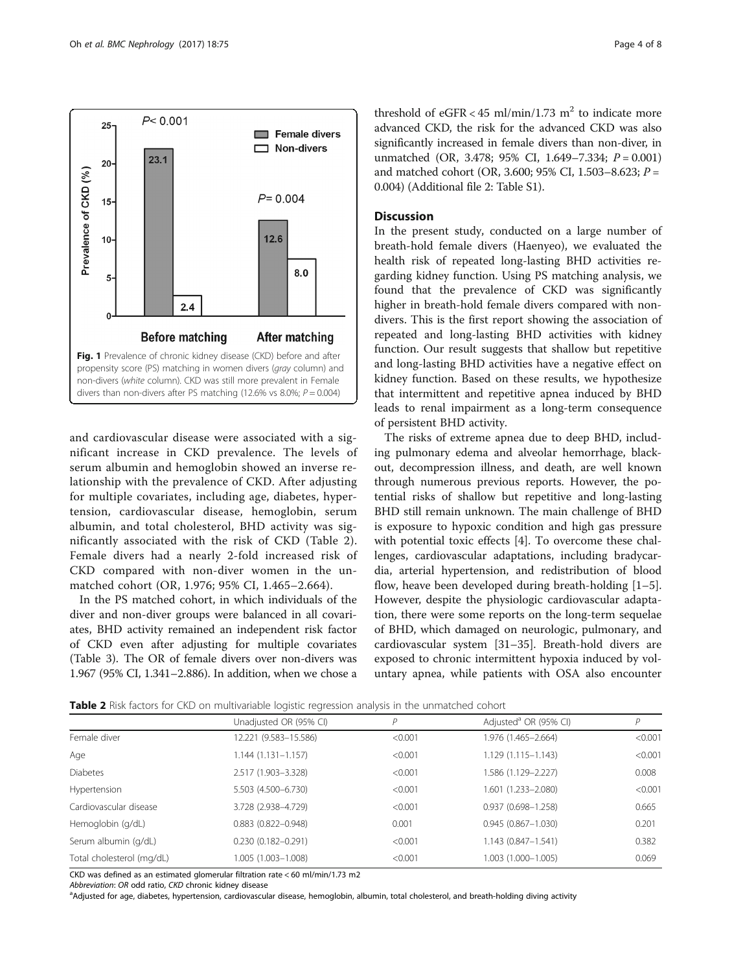

<span id="page-3-0"></span>

and cardiovascular disease were associated with a significant increase in CKD prevalence. The levels of serum albumin and hemoglobin showed an inverse relationship with the prevalence of CKD. After adjusting for multiple covariates, including age, diabetes, hypertension, cardiovascular disease, hemoglobin, serum albumin, and total cholesterol, BHD activity was significantly associated with the risk of CKD (Table 2). Female divers had a nearly 2-fold increased risk of CKD compared with non-diver women in the unmatched cohort (OR, 1.976; 95% CI, 1.465–2.664).

In the PS matched cohort, in which individuals of the diver and non-diver groups were balanced in all covariates, BHD activity remained an independent risk factor of CKD even after adjusting for multiple covariates (Table [3](#page-4-0)). The OR of female divers over non-divers was 1.967 (95% CI, 1.341–2.886). In addition, when we chose a

threshold of eGFR < 45 ml/min/1.73 m<sup>2</sup> to indicate more advanced CKD, the risk for the advanced CKD was also significantly increased in female divers than non-diver, in unmatched (OR, 3.478; 95% CI, 1.649–7.334;  $P = 0.001$ ) and matched cohort (OR, 3.600; 95% CI, 1.503–8.623; P = 0.004) (Additional file [2](#page-6-0): Table S1).

# **Discussion**

In the present study, conducted on a large number of breath-hold female divers (Haenyeo), we evaluated the health risk of repeated long-lasting BHD activities regarding kidney function. Using PS matching analysis, we found that the prevalence of CKD was significantly higher in breath-hold female divers compared with nondivers. This is the first report showing the association of repeated and long-lasting BHD activities with kidney function. Our result suggests that shallow but repetitive and long-lasting BHD activities have a negative effect on kidney function. Based on these results, we hypothesize that intermittent and repetitive apnea induced by BHD leads to renal impairment as a long-term consequence of persistent BHD activity.

The risks of extreme apnea due to deep BHD, including pulmonary edema and alveolar hemorrhage, blackout, decompression illness, and death, are well known through numerous previous reports. However, the potential risks of shallow but repetitive and long-lasting BHD still remain unknown. The main challenge of BHD is exposure to hypoxic condition and high gas pressure with potential toxic effects [[4\]](#page-6-0). To overcome these challenges, cardiovascular adaptations, including bradycardia, arterial hypertension, and redistribution of blood flow, heave been developed during breath-holding [\[1](#page-6-0)–[5](#page-6-0)]. However, despite the physiologic cardiovascular adaptation, there were some reports on the long-term sequelae of BHD, which damaged on neurologic, pulmonary, and cardiovascular system [\[31](#page-7-0)–[35](#page-7-0)]. Breath-hold divers are exposed to chronic intermittent hypoxia induced by voluntary apnea, while patients with OSA also encounter

**Table 2** Risk factors for CKD on multivariable logistic regression analysis in the unmatched cohort

|                           | Unadjusted OR (95% CI)    | P       | Adjusted <sup>a</sup> OR (95% CI) | Р       |
|---------------------------|---------------------------|---------|-----------------------------------|---------|
| Female diver              | 12.221 (9.583-15.586)     | < 0.001 | 1.976 (1.465-2.664)               | < 0.001 |
| Age                       | $1.144(1.131 - 1.157)$    | < 0.001 | $1.129(1.115 - 1.143)$            | < 0.001 |
| <b>Diabetes</b>           | 2.517 (1.903-3.328)       | < 0.001 | 1.586 (1.129–2.227)               | 0.008   |
| Hypertension              | 5.503 (4.500-6.730)       | < 0.001 | 1.601 (1.233-2.080)               | < 0.001 |
| Cardiovascular disease    | 3.728 (2.938-4.729)       | < 0.001 | $0.937(0.698 - 1.258)$            | 0.665   |
| Hemoglobin (g/dL)         | $0.883$ $(0.822 - 0.948)$ | 0.001   | $0.945(0.867 - 1.030)$            | 0.201   |
| Serum albumin (g/dL)      | $0.230(0.182 - 0.291)$    | < 0.001 | 1.143 (0.847-1.541)               | 0.382   |
| Total cholesterol (mg/dL) | 1.005 (1.003-1.008)       | < 0.001 | 1.003 (1.000-1.005)               | 0.069   |

CKD was defined as an estimated glomerular filtration rate < 60 ml/min/1.73 m2

Abbreviation: OR odd ratio, CKD chronic kidney disease

aAdjusted for age, diabetes, hypertension, cardiovascular disease, hemoglobin, albumin, total cholesterol, and breath-holding diving activity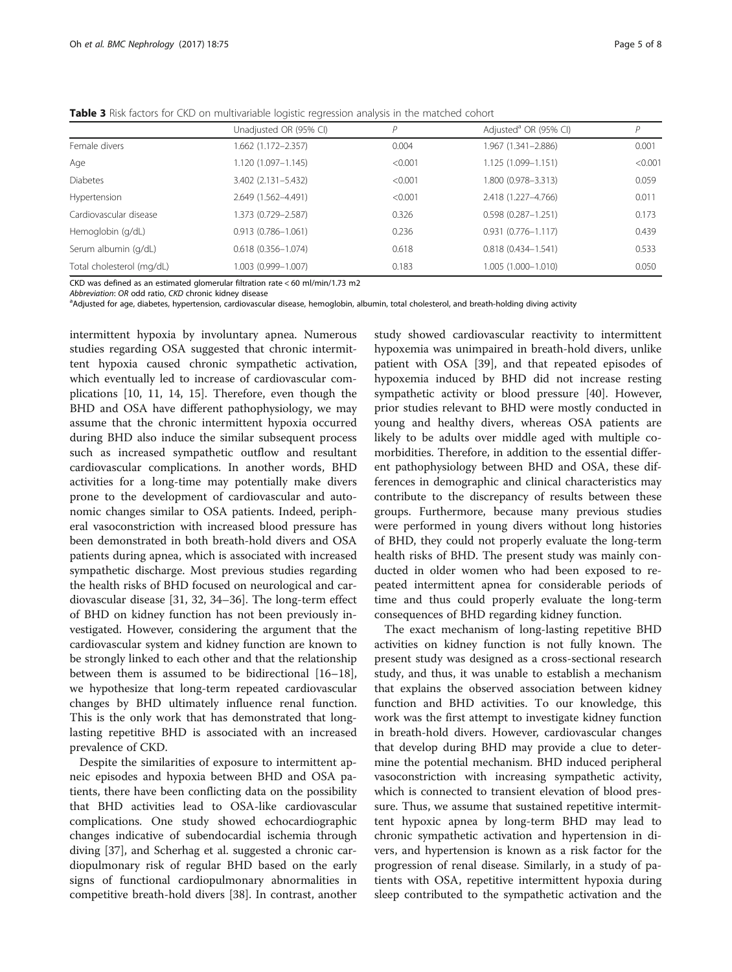<span id="page-4-0"></span>Table 3 Risk factors for CKD on multivariable logistic regression analysis in the matched cohort

|                           | Unadjusted OR (95% CI) | D       | Adjusted <sup>a</sup> OR (95% CI) | P       |
|---------------------------|------------------------|---------|-----------------------------------|---------|
| Female divers             | .662 (1.172-2.357)     | 0.004   | 1.967 (1.341-2.886)               | 0.001   |
| Age                       | 1.120 (1.097-1.145)    | < 0.001 | 1.125 (1.099-1.151)               | < 0.001 |
| <b>Diabetes</b>           | 3.402 (2.131-5.432)    | < 0.001 | 1.800 (0.978-3.313)               | 0.059   |
| Hypertension              | 2.649 (1.562-4.491)    | < 0.001 | 2.418 (1.227-4.766)               | 0.011   |
| Cardiovascular disease    | 1.373 (0.729-2.587)    | 0.326   | $0.598(0.287 - 1.251)$            | 0.173   |
| Hemoglobin (g/dL)         | $0.913(0.786 - 1.061)$ | 0.236   | $0.931(0.776 - 1.117)$            | 0.439   |
| Serum albumin (g/dL)      | $0.618(0.356 - 1.074)$ | 0.618   | $0.818(0.434 - 1.541)$            | 0.533   |
| Total cholesterol (mg/dL) | 0.003 (0.999-1.007)    | 0.183   | 1.005 (1.000-1.010)               | 0.050   |

CKD was defined as an estimated glomerular filtration rate < 60 ml/min/1.73 m2

Abbreviation: OR odd ratio, CKD chronic kidney disease

aAdjusted for age, diabetes, hypertension, cardiovascular disease, hemoglobin, albumin, total cholesterol, and breath-holding diving activity

intermittent hypoxia by involuntary apnea. Numerous studies regarding OSA suggested that chronic intermittent hypoxia caused chronic sympathetic activation, which eventually led to increase of cardiovascular complications [[10](#page-6-0), [11](#page-6-0), [14, 15](#page-6-0)]. Therefore, even though the BHD and OSA have different pathophysiology, we may assume that the chronic intermittent hypoxia occurred during BHD also induce the similar subsequent process such as increased sympathetic outflow and resultant cardiovascular complications. In another words, BHD activities for a long-time may potentially make divers prone to the development of cardiovascular and autonomic changes similar to OSA patients. Indeed, peripheral vasoconstriction with increased blood pressure has been demonstrated in both breath-hold divers and OSA patients during apnea, which is associated with increased sympathetic discharge. Most previous studies regarding the health risks of BHD focused on neurological and cardiovascular disease [[31, 32, 34](#page-7-0)–[36\]](#page-7-0). The long-term effect of BHD on kidney function has not been previously investigated. However, considering the argument that the cardiovascular system and kidney function are known to be strongly linked to each other and that the relationship between them is assumed to be bidirectional [[16](#page-6-0)–[18](#page-6-0)], we hypothesize that long-term repeated cardiovascular changes by BHD ultimately influence renal function. This is the only work that has demonstrated that longlasting repetitive BHD is associated with an increased prevalence of CKD.

Despite the similarities of exposure to intermittent apneic episodes and hypoxia between BHD and OSA patients, there have been conflicting data on the possibility that BHD activities lead to OSA-like cardiovascular complications. One study showed echocardiographic changes indicative of subendocardial ischemia through diving [\[37](#page-7-0)], and Scherhag et al. suggested a chronic cardiopulmonary risk of regular BHD based on the early signs of functional cardiopulmonary abnormalities in competitive breath-hold divers [[38](#page-7-0)]. In contrast, another study showed cardiovascular reactivity to intermittent hypoxemia was unimpaired in breath-hold divers, unlike patient with OSA [\[39](#page-7-0)], and that repeated episodes of hypoxemia induced by BHD did not increase resting sympathetic activity or blood pressure [[40\]](#page-7-0). However, prior studies relevant to BHD were mostly conducted in young and healthy divers, whereas OSA patients are likely to be adults over middle aged with multiple comorbidities. Therefore, in addition to the essential different pathophysiology between BHD and OSA, these differences in demographic and clinical characteristics may contribute to the discrepancy of results between these groups. Furthermore, because many previous studies were performed in young divers without long histories of BHD, they could not properly evaluate the long-term health risks of BHD. The present study was mainly conducted in older women who had been exposed to repeated intermittent apnea for considerable periods of time and thus could properly evaluate the long-term consequences of BHD regarding kidney function.

The exact mechanism of long-lasting repetitive BHD activities on kidney function is not fully known. The present study was designed as a cross-sectional research study, and thus, it was unable to establish a mechanism that explains the observed association between kidney function and BHD activities. To our knowledge, this work was the first attempt to investigate kidney function in breath-hold divers. However, cardiovascular changes that develop during BHD may provide a clue to determine the potential mechanism. BHD induced peripheral vasoconstriction with increasing sympathetic activity, which is connected to transient elevation of blood pressure. Thus, we assume that sustained repetitive intermittent hypoxic apnea by long-term BHD may lead to chronic sympathetic activation and hypertension in divers, and hypertension is known as a risk factor for the progression of renal disease. Similarly, in a study of patients with OSA, repetitive intermittent hypoxia during sleep contributed to the sympathetic activation and the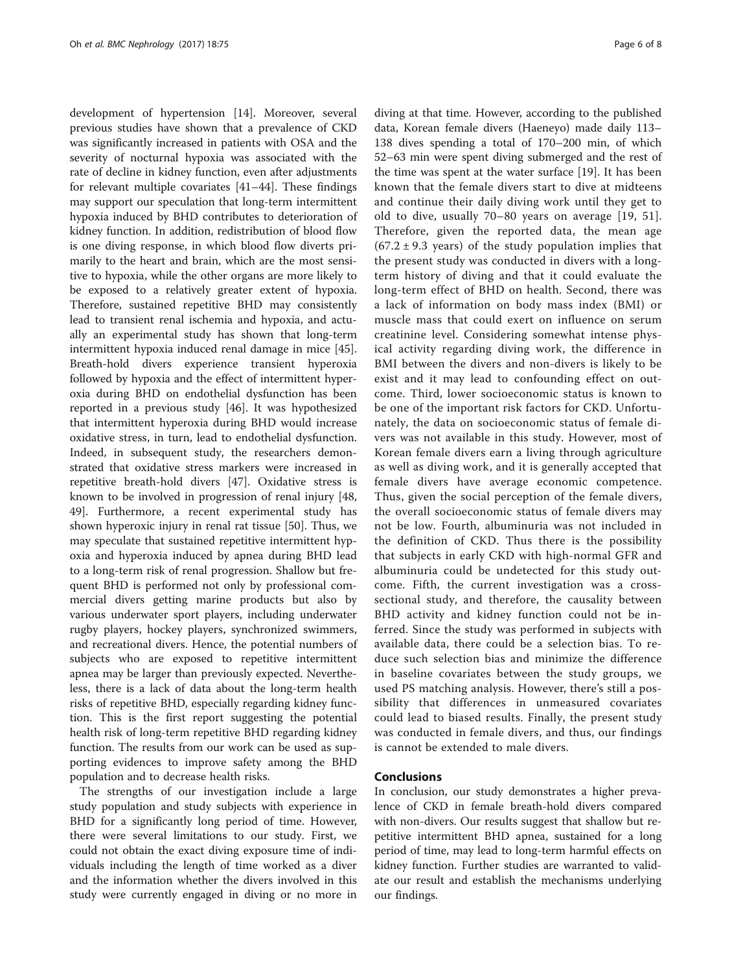development of hypertension [\[14\]](#page-6-0). Moreover, several previous studies have shown that a prevalence of CKD was significantly increased in patients with OSA and the severity of nocturnal hypoxia was associated with the rate of decline in kidney function, even after adjustments for relevant multiple covariates [[41](#page-7-0)–[44](#page-7-0)]. These findings may support our speculation that long-term intermittent hypoxia induced by BHD contributes to deterioration of kidney function. In addition, redistribution of blood flow is one diving response, in which blood flow diverts primarily to the heart and brain, which are the most sensitive to hypoxia, while the other organs are more likely to be exposed to a relatively greater extent of hypoxia. Therefore, sustained repetitive BHD may consistently lead to transient renal ischemia and hypoxia, and actually an experimental study has shown that long-term intermittent hypoxia induced renal damage in mice [\[45](#page-7-0)]. Breath-hold divers experience transient hyperoxia followed by hypoxia and the effect of intermittent hyperoxia during BHD on endothelial dysfunction has been reported in a previous study [[46\]](#page-7-0). It was hypothesized that intermittent hyperoxia during BHD would increase oxidative stress, in turn, lead to endothelial dysfunction. Indeed, in subsequent study, the researchers demonstrated that oxidative stress markers were increased in repetitive breath-hold divers [[47](#page-7-0)]. Oxidative stress is known to be involved in progression of renal injury [[48](#page-7-0), [49\]](#page-7-0). Furthermore, a recent experimental study has shown hyperoxic injury in renal rat tissue [[50\]](#page-7-0). Thus, we may speculate that sustained repetitive intermittent hypoxia and hyperoxia induced by apnea during BHD lead to a long-term risk of renal progression. Shallow but frequent BHD is performed not only by professional commercial divers getting marine products but also by various underwater sport players, including underwater rugby players, hockey players, synchronized swimmers, and recreational divers. Hence, the potential numbers of subjects who are exposed to repetitive intermittent apnea may be larger than previously expected. Nevertheless, there is a lack of data about the long-term health risks of repetitive BHD, especially regarding kidney function. This is the first report suggesting the potential health risk of long-term repetitive BHD regarding kidney function. The results from our work can be used as supporting evidences to improve safety among the BHD population and to decrease health risks.

The strengths of our investigation include a large study population and study subjects with experience in BHD for a significantly long period of time. However, there were several limitations to our study. First, we could not obtain the exact diving exposure time of individuals including the length of time worked as a diver and the information whether the divers involved in this study were currently engaged in diving or no more in diving at that time. However, according to the published data, Korean female divers (Haeneyo) made daily 113– 138 dives spending a total of 170–200 min, of which 52–63 min were spent diving submerged and the rest of the time was spent at the water surface [\[19\]](#page-6-0). It has been known that the female divers start to dive at midteens and continue their daily diving work until they get to old to dive, usually 70–80 years on average [[19](#page-6-0), [51](#page-7-0)]. Therefore, given the reported data, the mean age  $(67.2 \pm 9.3 \text{ years})$  of the study population implies that the present study was conducted in divers with a longterm history of diving and that it could evaluate the long-term effect of BHD on health. Second, there was a lack of information on body mass index (BMI) or muscle mass that could exert on influence on serum creatinine level. Considering somewhat intense physical activity regarding diving work, the difference in BMI between the divers and non-divers is likely to be exist and it may lead to confounding effect on outcome. Third, lower socioeconomic status is known to be one of the important risk factors for CKD. Unfortunately, the data on socioeconomic status of female divers was not available in this study. However, most of Korean female divers earn a living through agriculture as well as diving work, and it is generally accepted that female divers have average economic competence. Thus, given the social perception of the female divers, the overall socioeconomic status of female divers may not be low. Fourth, albuminuria was not included in the definition of CKD. Thus there is the possibility that subjects in early CKD with high-normal GFR and albuminuria could be undetected for this study outcome. Fifth, the current investigation was a crosssectional study, and therefore, the causality between BHD activity and kidney function could not be inferred. Since the study was performed in subjects with available data, there could be a selection bias. To reduce such selection bias and minimize the difference in baseline covariates between the study groups, we used PS matching analysis. However, there's still a possibility that differences in unmeasured covariates could lead to biased results. Finally, the present study was conducted in female divers, and thus, our findings is cannot be extended to male divers.

# Conclusions

In conclusion, our study demonstrates a higher prevalence of CKD in female breath-hold divers compared with non-divers. Our results suggest that shallow but repetitive intermittent BHD apnea, sustained for a long period of time, may lead to long-term harmful effects on kidney function. Further studies are warranted to validate our result and establish the mechanisms underlying our findings.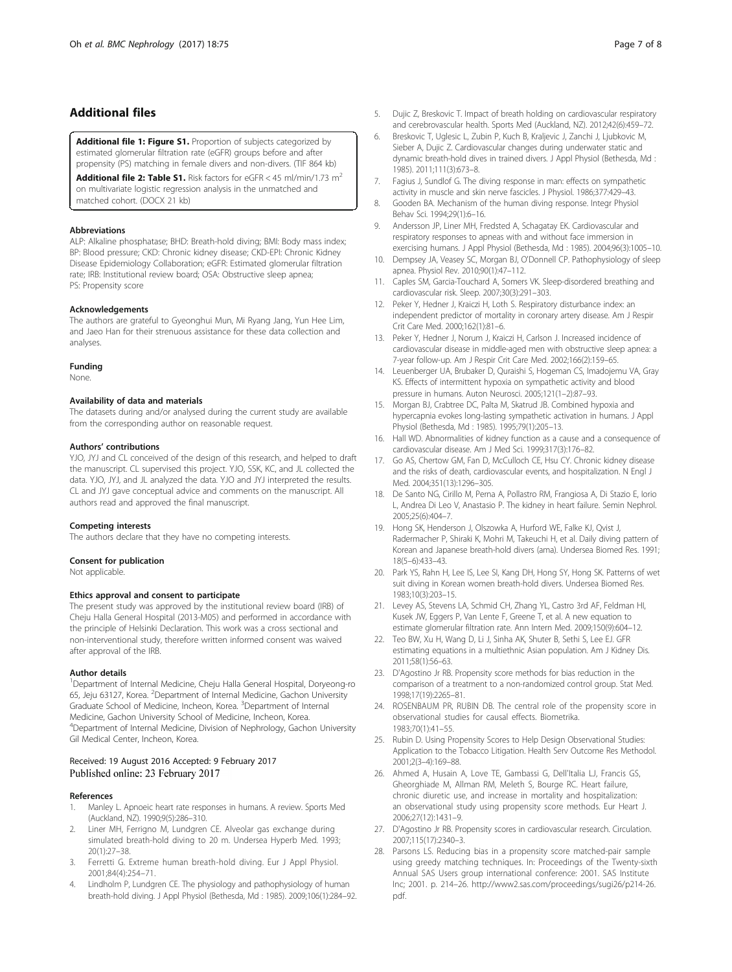# <span id="page-6-0"></span>Additional files

[Additional file 1: Figure S1.](dx.doi.org/10.1186/s12882-017-0481-1) Proportion of subjects categorized by estimated glomerular filtration rate (eGFR) groups before and after propensity (PS) matching in female divers and non-divers. (TIF 864 kb)

**[Additional file 2: Table S1.](dx.doi.org/10.1186/s12882-017-0481-1)** Risk factors for eGFR < 45 ml/min/1.73 m<sup>2</sup> on multivariate logistic regression analysis in the unmatched and matched cohort. (DOCX 21 kb)

#### Abbreviations

ALP: Alkaline phosphatase; BHD: Breath-hold diving; BMI: Body mass index; BP: Blood pressure; CKD: Chronic kidney disease; CKD-EPI: Chronic Kidney Disease Epidemiology Collaboration; eGFR: Estimated glomerular filtration rate; IRB: Institutional review board; OSA: Obstructive sleep apnea; PS: Propensity score

#### Acknowledgements

The authors are grateful to Gyeonghui Mun, Mi Ryang Jang, Yun Hee Lim, and Jaeo Han for their strenuous assistance for these data collection and analyses.

### Funding

None.

### Availability of data and materials

The datasets during and/or analysed during the current study are available from the corresponding author on reasonable request.

#### Authors' contributions

YJO, JYJ and CL conceived of the design of this research, and helped to draft the manuscript. CL supervised this project. YJO, SSK, KC, and JL collected the data. YJO, JYJ, and JL analyzed the data. YJO and JYJ interpreted the results. CL and JYJ gave conceptual advice and comments on the manuscript. All authors read and approved the final manuscript.

#### Competing interests

The authors declare that they have no competing interests.

#### Consent for publication

Not applicable.

#### Ethics approval and consent to participate

The present study was approved by the institutional review board (IRB) of Cheju Halla General Hospital (2013-M05) and performed in accordance with the principle of Helsinki Declaration. This work was a cross sectional and non-interventional study, therefore written informed consent was waived after approval of the IRB.

#### Author details

<sup>1</sup>Department of Internal Medicine, Cheju Halla General Hospital, Doryeong-ro 65, Jeju 63127, Korea. <sup>2</sup>Department of Internal Medicine, Gachon University Graduate School of Medicine, Incheon, Korea. <sup>3</sup>Department of Internal Medicine, Gachon University School of Medicine, Incheon, Korea. 4 Department of Internal Medicine, Division of Nephrology, Gachon University Gil Medical Center, Incheon, Korea.

#### Received: 19 August 2016 Accepted: 9 February 2017 Published online: 23 February 2017

#### References

- 1. Manley L. Apnoeic heart rate responses in humans. A review. Sports Med (Auckland, NZ). 1990;9(5):286–310.
- 2. Liner MH, Ferrigno M, Lundgren CE. Alveolar gas exchange during simulated breath-hold diving to 20 m. Undersea Hyperb Med. 1993; 20(1):27–38.
- 3. Ferretti G. Extreme human breath-hold diving. Eur J Appl Physiol. 2001;84(4):254–71.
- 4. Lindholm P, Lundgren CE. The physiology and pathophysiology of human breath-hold diving. J Appl Physiol (Bethesda, Md : 1985). 2009;106(1):284–92.
- 5. Dujic Z, Breskovic T. Impact of breath holding on cardiovascular respiratory and cerebrovascular health. Sports Med (Auckland, NZ). 2012;42(6):459–72.
- 6. Breskovic T, Uglesic L, Zubin P, Kuch B, Kraljevic J, Zanchi J, Ljubkovic M, Sieber A, Dujic Z. Cardiovascular changes during underwater static and dynamic breath-hold dives in trained divers. J Appl Physiol (Bethesda, Md : 1985). 2011;111(3):673–8.
- 7. Fagius J, Sundlof G. The diving response in man: effects on sympathetic activity in muscle and skin nerve fascicles. J Physiol. 1986;377:429–43.
- 8. Gooden BA. Mechanism of the human diving response. Integr Physiol Behav Sci. 1994;29(1):6–16.
- 9. Andersson JP, Liner MH, Fredsted A, Schagatay EK. Cardiovascular and respiratory responses to apneas with and without face immersion in exercising humans. J Appl Physiol (Bethesda, Md : 1985). 2004;96(3):1005–10.
- 10. Dempsey JA, Veasey SC, Morgan BJ, O'Donnell CP. Pathophysiology of sleep apnea. Physiol Rev. 2010;90(1):47–112.
- 11. Caples SM, Garcia-Touchard A, Somers VK. Sleep-disordered breathing and cardiovascular risk. Sleep. 2007;30(3):291–303.
- 12. Peker Y, Hedner J, Kraiczi H, Loth S. Respiratory disturbance index: an independent predictor of mortality in coronary artery disease. Am J Respir Crit Care Med. 2000;162(1):81–6.
- 13. Peker Y, Hedner J, Norum J, Kraiczi H, Carlson J. Increased incidence of cardiovascular disease in middle-aged men with obstructive sleep apnea: a 7-year follow-up. Am J Respir Crit Care Med. 2002;166(2):159–65.
- 14. Leuenberger UA, Brubaker D, Quraishi S, Hogeman CS, Imadojemu VA, Gray KS. Effects of intermittent hypoxia on sympathetic activity and blood pressure in humans. Auton Neurosci. 2005;121(1–2):87–93.
- 15. Morgan BJ, Crabtree DC, Palta M, Skatrud JB. Combined hypoxia and hypercapnia evokes long-lasting sympathetic activation in humans. J Appl Physiol (Bethesda, Md : 1985). 1995;79(1):205–13.
- 16. Hall WD. Abnormalities of kidney function as a cause and a consequence of cardiovascular disease. Am J Med Sci. 1999;317(3):176–82.
- 17. Go AS, Chertow GM, Fan D, McCulloch CE, Hsu CY. Chronic kidney disease and the risks of death, cardiovascular events, and hospitalization. N Engl J Med. 2004;351(13):1296–305.
- 18. De Santo NG, Cirillo M, Perna A, Pollastro RM, Frangiosa A, Di Stazio E, Iorio L, Andrea Di Leo V, Anastasio P. The kidney in heart failure. Semin Nephrol. 2005;25(6):404–7.
- 19. Hong SK, Henderson J, Olszowka A, Hurford WE, Falke KJ, Qvist J, Radermacher P, Shiraki K, Mohri M, Takeuchi H, et al. Daily diving pattern of Korean and Japanese breath-hold divers (ama). Undersea Biomed Res. 1991; 18(5–6):433–43.
- 20. Park YS, Rahn H, Lee IS, Lee SI, Kang DH, Hong SY, Hong SK. Patterns of wet suit diving in Korean women breath-hold divers. Undersea Biomed Res. 1983;10(3):203–15.
- 21. Levey AS, Stevens LA, Schmid CH, Zhang YL, Castro 3rd AF, Feldman HI, Kusek JW, Eggers P, Van Lente F, Greene T, et al. A new equation to estimate glomerular filtration rate. Ann Intern Med. 2009;150(9):604–12.
- 22. Teo BW, Xu H, Wang D, Li J, Sinha AK, Shuter B, Sethi S, Lee EJ. GFR estimating equations in a multiethnic Asian population. Am J Kidney Dis. 2011;58(1):56–63.
- 23. D'Agostino Jr RB. Propensity score methods for bias reduction in the comparison of a treatment to a non-randomized control group. Stat Med. 1998;17(19):2265–81.
- 24. ROSENBAUM PR, RUBIN DB. The central role of the propensity score in observational studies for causal effects. Biometrika. 1983;70(1):41–55.
- 25. Rubin D. Using Propensity Scores to Help Design Observational Studies: Application to the Tobacco Litigation. Health Serv Outcome Res Methodol. 2001;2(3–4):169–88.
- 26. Ahmed A, Husain A, Love TE, Gambassi G, Dell'Italia LJ, Francis GS, Gheorghiade M, Allman RM, Meleth S, Bourge RC. Heart failure, chronic diuretic use, and increase in mortality and hospitalization: an observational study using propensity score methods. Eur Heart J. 2006;27(12):1431–9.
- 27. D'Agostino Jr RB. Propensity scores in cardiovascular research. Circulation. 2007;115(17):2340–3.
- 28. Parsons LS. Reducing bias in a propensity score matched-pair sample using greedy matching techniques. In: Proceedings of the Twenty-sixth Annual SAS Users group international conference: 2001. SAS Institute Inc; 2001. p. 214–26. [http://www2.sas.com/proceedings/sugi26/p214-26.](http://www2.sas.com/proceedings/sugi26/p214-26.pdf) [pdf.](http://www2.sas.com/proceedings/sugi26/p214-26.pdf)